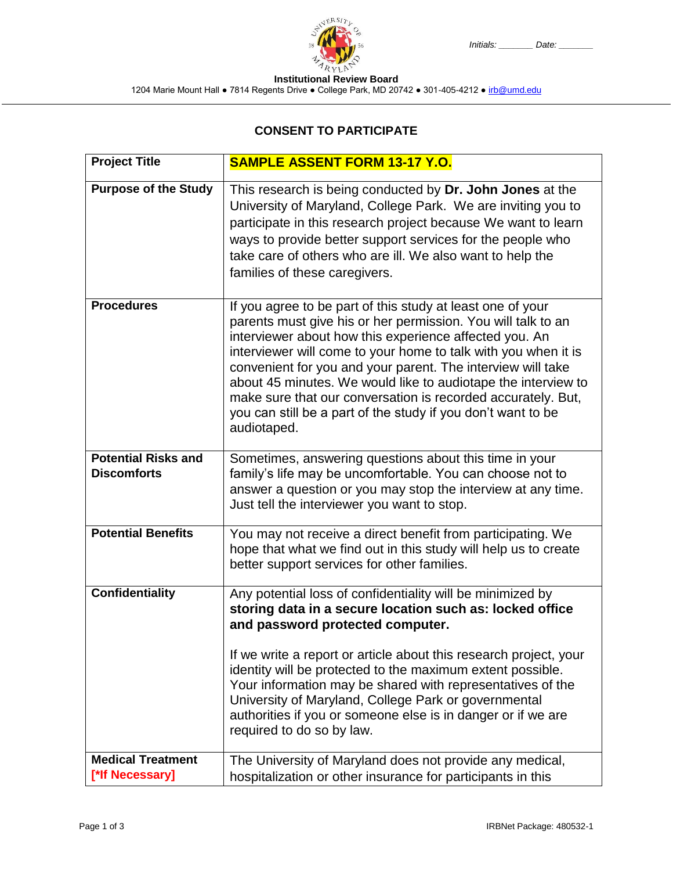**Institutional Review Board**

1204 Marie Mount Hall • 7814 Regents Drive • College Park, MD 20742 • 301-405-4212 • irb@umd.edu

## **CONSENT TO PARTICIPATE**

| <b>Project Title</b>                             | <b>SAMPLE ASSENT FORM 13-17 Y.O.</b>                                                                                                                                                                                                                                                                                                                                                                                                                                                                                                  |  |  |
|--------------------------------------------------|---------------------------------------------------------------------------------------------------------------------------------------------------------------------------------------------------------------------------------------------------------------------------------------------------------------------------------------------------------------------------------------------------------------------------------------------------------------------------------------------------------------------------------------|--|--|
| <b>Purpose of the Study</b>                      | This research is being conducted by Dr. John Jones at the<br>University of Maryland, College Park. We are inviting you to<br>participate in this research project because We want to learn<br>ways to provide better support services for the people who<br>take care of others who are ill. We also want to help the<br>families of these caregivers.                                                                                                                                                                                |  |  |
| <b>Procedures</b>                                | If you agree to be part of this study at least one of your<br>parents must give his or her permission. You will talk to an<br>interviewer about how this experience affected you. An<br>interviewer will come to your home to talk with you when it is<br>convenient for you and your parent. The interview will take<br>about 45 minutes. We would like to audiotape the interview to<br>make sure that our conversation is recorded accurately. But,<br>you can still be a part of the study if you don't want to be<br>audiotaped. |  |  |
| <b>Potential Risks and</b><br><b>Discomforts</b> | Sometimes, answering questions about this time in your<br>family's life may be uncomfortable. You can choose not to<br>answer a question or you may stop the interview at any time.<br>Just tell the interviewer you want to stop.                                                                                                                                                                                                                                                                                                    |  |  |
| <b>Potential Benefits</b>                        | You may not receive a direct benefit from participating. We<br>hope that what we find out in this study will help us to create<br>better support services for other families.                                                                                                                                                                                                                                                                                                                                                         |  |  |
| <b>Confidentiality</b>                           | Any potential loss of confidentiality will be minimized by<br>storing data in a secure location such as: locked office<br>and password protected computer.<br>If we write a report or article about this research project, your<br>identity will be protected to the maximum extent possible.<br>Your information may be shared with representatives of the<br>University of Maryland, College Park or governmental<br>authorities if you or someone else is in danger or if we are<br>required to do so by law.                      |  |  |
| <b>Medical Treatment</b><br>[*lf Necessary]      | The University of Maryland does not provide any medical,<br>hospitalization or other insurance for participants in this                                                                                                                                                                                                                                                                                                                                                                                                               |  |  |

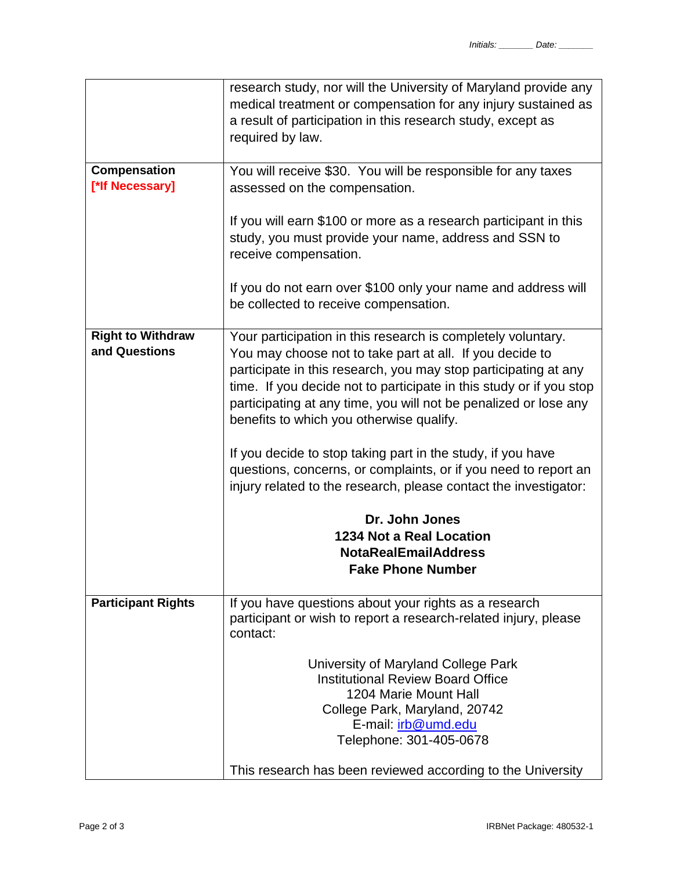|                                           | research study, nor will the University of Maryland provide any<br>medical treatment or compensation for any injury sustained as<br>a result of participation in this research study, except as<br>required by law.                                                                                                                                                                                                                                                                                                                                                                                                                                                                                      |  |
|-------------------------------------------|----------------------------------------------------------------------------------------------------------------------------------------------------------------------------------------------------------------------------------------------------------------------------------------------------------------------------------------------------------------------------------------------------------------------------------------------------------------------------------------------------------------------------------------------------------------------------------------------------------------------------------------------------------------------------------------------------------|--|
| Compensation<br>[*lf Necessary]           | You will receive \$30. You will be responsible for any taxes<br>assessed on the compensation.                                                                                                                                                                                                                                                                                                                                                                                                                                                                                                                                                                                                            |  |
|                                           | If you will earn \$100 or more as a research participant in this<br>study, you must provide your name, address and SSN to<br>receive compensation.                                                                                                                                                                                                                                                                                                                                                                                                                                                                                                                                                       |  |
|                                           | If you do not earn over \$100 only your name and address will<br>be collected to receive compensation.                                                                                                                                                                                                                                                                                                                                                                                                                                                                                                                                                                                                   |  |
| <b>Right to Withdraw</b><br>and Questions | Your participation in this research is completely voluntary.<br>You may choose not to take part at all. If you decide to<br>participate in this research, you may stop participating at any<br>time. If you decide not to participate in this study or if you stop<br>participating at any time, you will not be penalized or lose any<br>benefits to which you otherwise qualify.<br>If you decide to stop taking part in the study, if you have<br>questions, concerns, or complaints, or if you need to report an<br>injury related to the research, please contact the investigator:<br>Dr. John Jones<br><b>1234 Not a Real Location</b><br><b>NotaRealEmailAddress</b><br><b>Fake Phone Number</b> |  |
| <b>Participant Rights</b>                 | If you have questions about your rights as a research                                                                                                                                                                                                                                                                                                                                                                                                                                                                                                                                                                                                                                                    |  |
|                                           | participant or wish to report a research-related injury, please<br>contact:                                                                                                                                                                                                                                                                                                                                                                                                                                                                                                                                                                                                                              |  |
|                                           | University of Maryland College Park<br><b>Institutional Review Board Office</b><br>1204 Marie Mount Hall<br>College Park, Maryland, 20742<br>E-mail: irb@umd.edu<br>Telephone: 301-405-0678<br>This research has been reviewed according to the University                                                                                                                                                                                                                                                                                                                                                                                                                                               |  |